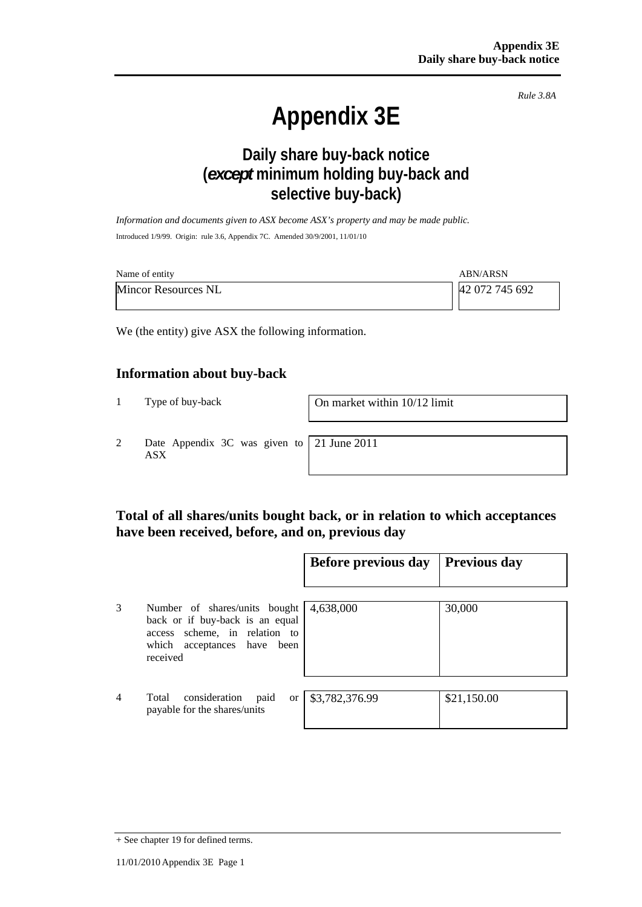*Rule 3.8A*

# **Appendix 3E**

# **Daily share buy-back notice (***except* **minimum holding buy-back and selective buy-back)**

*Information and documents given to ASX become ASX's property and may be made public.*  Introduced 1/9/99. Origin: rule 3.6, Appendix 7C. Amended 30/9/2001, 11/01/10

| Name of entity             | <b>ABN/ARSN</b> |
|----------------------------|-----------------|
| <b>Mincor Resources NL</b> | 42 072 745 692  |

We (the entity) give ASX the following information.

## **Information about buy-back**

1 Type of buy-back On market within 10/12 limit

2 Date Appendix 3C was given to ASX

21 June 2011

## **Total of all shares/units bought back, or in relation to which acceptances have been received, before, and on, previous day**

|                |                                                                                                                                                 | Before previous day | <b>Previous day</b> |
|----------------|-------------------------------------------------------------------------------------------------------------------------------------------------|---------------------|---------------------|
| 3              | Number of shares/units bought<br>back or if buy-back is an equal<br>scheme, in relation to<br>access<br>which acceptances have been<br>received | 4,638,000           | 30,000              |
| $\overline{4}$ | consideration<br>Total<br>paid<br><sub>or</sub><br>payable for the shares/units                                                                 | \$3,782,376.99      | \$21,150.00         |

<sup>+</sup> See chapter 19 for defined terms.